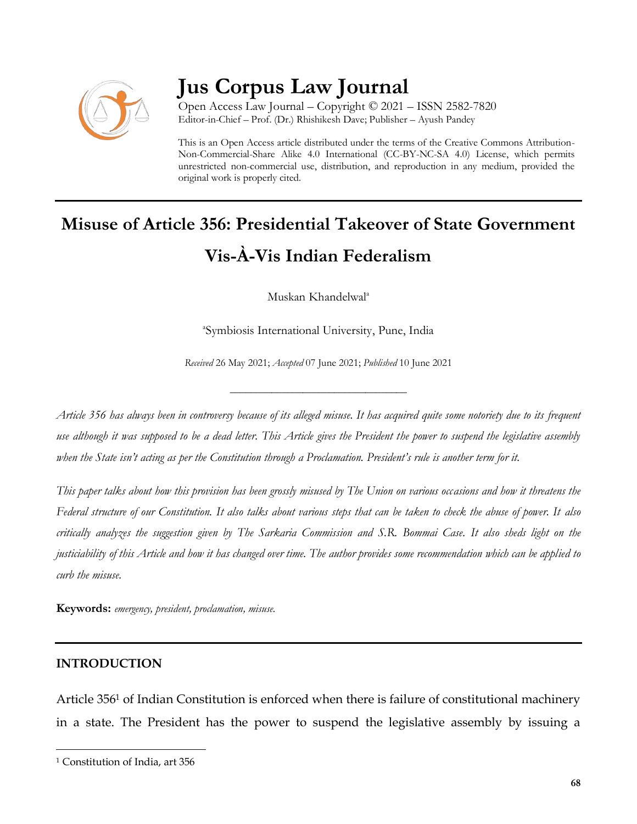

# **Jus Corpus Law Journal**

Open Access Law Journal – Copyright © 2021 – ISSN 2582-7820 Editor-in-Chief – Prof. (Dr.) Rhishikesh Dave; Publisher – Ayush Pandey

This is an Open Access article distributed under the terms of the Creative Commons Attribution-Non-Commercial-Share Alike 4.0 International (CC-BY-NC-SA 4.0) License, which permits unrestricted non-commercial use, distribution, and reproduction in any medium, provided the original work is properly cited.

# **Misuse of Article 356: Presidential Takeover of State Government Vis-À-Vis Indian Federalism**

Muskan Khandelwal<sup>a</sup>

a Symbiosis International University, Pune, India

*Received* 26 May 2021; *Accepted* 07 June 2021; *Published* 10 June 2021

\_\_\_\_\_\_\_\_\_\_\_\_\_\_\_\_\_\_\_\_\_\_\_\_\_\_\_\_\_\_\_\_\_\_

*Article 356 has always been in controversy because of its alleged misuse. It has acquired quite some notoriety due to its frequent use although it was supposed to be a dead letter. This Article gives the President the power to suspend the legislative assembly when the State isn't acting as per the Constitution through a Proclamation. President's rule is another term for it.*

*This paper talks about how this provision has been grossly misused by The Union on various occasions and how it threatens the Federal structure of our Constitution. It also talks about various steps that can be taken to check the abuse of power. It also critically analyzes the suggestion given by The Sarkaria Commission and S.R. Bommai Case. It also sheds light on the justiciability of this Article and how it has changed over time. The author provides some recommendation which can be applied to curb the misuse.* 

**Keywords:** *emergency, president, proclamation, misuse.*

## **INTRODUCTION**

 $\overline{\phantom{a}}$ 

Article 356<sup>1</sup> of Indian Constitution is enforced when there is failure of constitutional machinery in a state. The President has the power to suspend the legislative assembly by issuing a

<sup>&</sup>lt;sup>1</sup> Constitution of India, art 356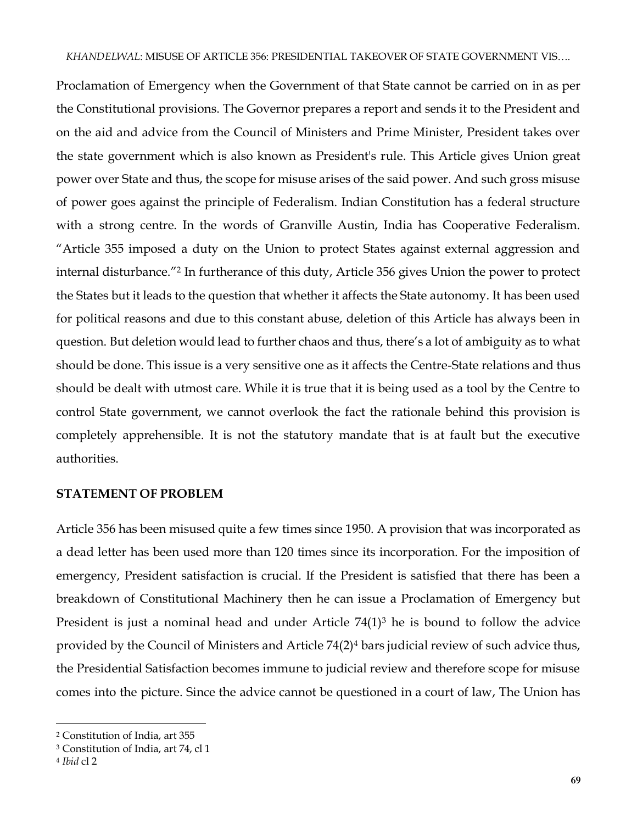Proclamation of Emergency when the Government of that State cannot be carried on in as per the Constitutional provisions. The Governor prepares a report and sends it to the President and on the aid and advice from the Council of Ministers and Prime Minister, President takes over the state government which is also known as President's rule. This Article gives Union great power over State and thus, the scope for misuse arises of the said power. And such gross misuse of power goes against the principle of Federalism. Indian Constitution has a federal structure with a strong centre. In the words of Granville Austin, India has Cooperative Federalism. "Article 355 imposed a duty on the Union to protect States against external aggression and internal disturbance."<sup>2</sup> In furtherance of this duty, Article 356 gives Union the power to protect the States but it leads to the question that whether it affects the State autonomy. It has been used for political reasons and due to this constant abuse, deletion of this Article has always been in question. But deletion would lead to further chaos and thus, there's a lot of ambiguity as to what should be done. This issue is a very sensitive one as it affects the Centre-State relations and thus should be dealt with utmost care. While it is true that it is being used as a tool by the Centre to control State government, we cannot overlook the fact the rationale behind this provision is completely apprehensible. It is not the statutory mandate that is at fault but the executive authorities.

#### **STATEMENT OF PROBLEM**

Article 356 has been misused quite a few times since 1950. A provision that was incorporated as a dead letter has been used more than 120 times since its incorporation. For the imposition of emergency, President satisfaction is crucial. If the President is satisfied that there has been a breakdown of Constitutional Machinery then he can issue a Proclamation of Emergency but President is just a nominal head and under Article  $74(1)^3$  he is bound to follow the advice provided by the Council of Ministers and Article 74(2)<sup>4</sup> bars judicial review of such advice thus, the Presidential Satisfaction becomes immune to judicial review and therefore scope for misuse comes into the picture. Since the advice cannot be questioned in a court of law, The Union has

 $\overline{\phantom{a}}$ 

<sup>2</sup> Constitution of India, art 355

<sup>3</sup> Constitution of India, art 74, cl 1

<sup>4</sup> *Ibid* cl 2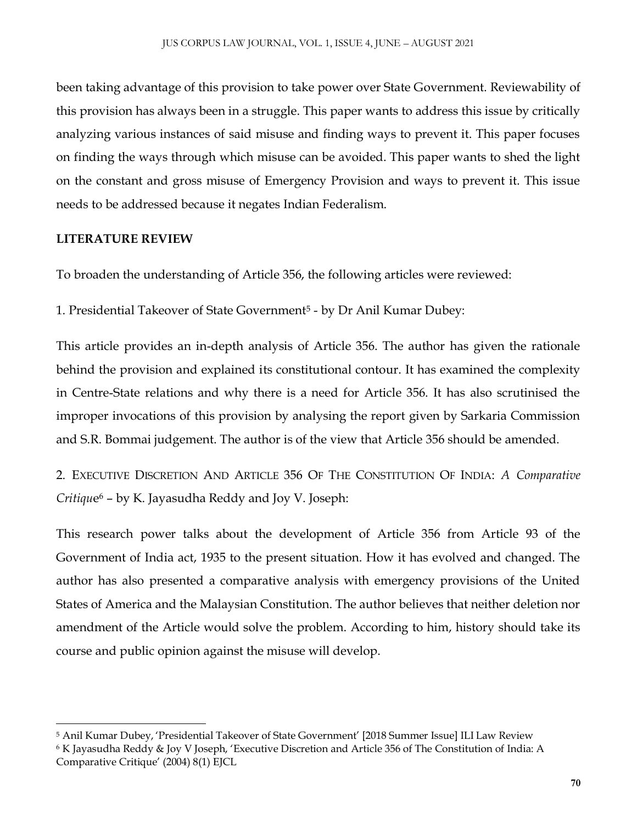been taking advantage of this provision to take power over State Government. Reviewability of this provision has always been in a struggle. This paper wants to address this issue by critically analyzing various instances of said misuse and finding ways to prevent it. This paper focuses on finding the ways through which misuse can be avoided. This paper wants to shed the light on the constant and gross misuse of Emergency Provision and ways to prevent it. This issue needs to be addressed because it negates Indian Federalism.

# **LITERATURE REVIEW**

To broaden the understanding of Article 356, the following articles were reviewed:

1. Presidential Takeover of State Government<sup>5</sup> - by Dr Anil Kumar Dubey:

This article provides an in-depth analysis of Article 356. The author has given the rationale behind the provision and explained its constitutional contour. It has examined the complexity in Centre-State relations and why there is a need for Article 356. It has also scrutinised the improper invocations of this provision by analysing the report given by Sarkaria Commission and S.R. Bommai judgement. The author is of the view that Article 356 should be amended.

2. EXECUTIVE DISCRETION AND ARTICLE 356 OF THE CONSTITUTION OF INDIA: *A Comparative Critiqu*e <sup>6</sup> – by K. Jayasudha Reddy and Joy V. Joseph:

This research power talks about the development of Article 356 from Article 93 of the Government of India act, 1935 to the present situation. How it has evolved and changed. The author has also presented a comparative analysis with emergency provisions of the United States of America and the Malaysian Constitution. The author believes that neither deletion nor amendment of the Article would solve the problem. According to him, history should take its course and public opinion against the misuse will develop.

 $\overline{\phantom{a}}$ <sup>5</sup> Anil Kumar Dubey, 'Presidential Takeover of State Government' [2018 Summer Issue] ILI Law Review

<sup>6</sup> K Jayasudha Reddy & Joy V Joseph, 'Executive Discretion and Article 356 of The Constitution of India: A Comparative Critique' (2004) 8(1) EJCL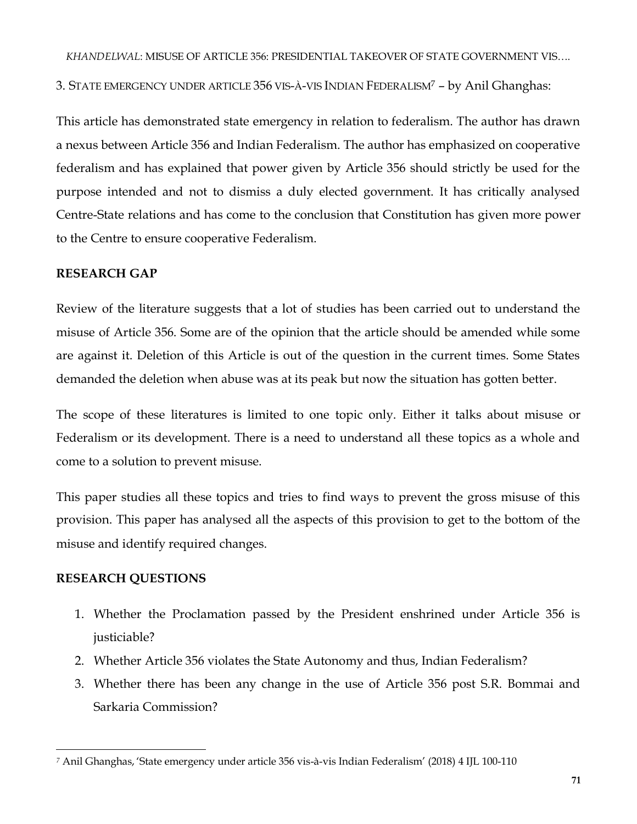3. STATE EMERGENCY UNDER ARTICLE 356 VIS-À-VIS INDIAN FEDERALISM<sup>7</sup> – by Anil Ghanghas:

This article has demonstrated state emergency in relation to federalism. The author has drawn a nexus between Article 356 and Indian Federalism. The author has emphasized on cooperative federalism and has explained that power given by Article 356 should strictly be used for the purpose intended and not to dismiss a duly elected government. It has critically analysed Centre-State relations and has come to the conclusion that Constitution has given more power to the Centre to ensure cooperative Federalism.

## **RESEARCH GAP**

Review of the literature suggests that a lot of studies has been carried out to understand the misuse of Article 356. Some are of the opinion that the article should be amended while some are against it. Deletion of this Article is out of the question in the current times. Some States demanded the deletion when abuse was at its peak but now the situation has gotten better.

The scope of these literatures is limited to one topic only. Either it talks about misuse or Federalism or its development. There is a need to understand all these topics as a whole and come to a solution to prevent misuse.

This paper studies all these topics and tries to find ways to prevent the gross misuse of this provision. This paper has analysed all the aspects of this provision to get to the bottom of the misuse and identify required changes.

## **RESEARCH QUESTIONS**

- 1. Whether the Proclamation passed by the President enshrined under Article 356 is justiciable?
- 2. Whether Article 356 violates the State Autonomy and thus, Indian Federalism?
- 3. Whether there has been any change in the use of Article 356 post S.R. Bommai and Sarkaria Commission?

 $\overline{\phantom{a}}$ *<sup>7</sup>* Anil Ghanghas, 'State emergency under article 356 vis-à-vis Indian Federalism' (2018) 4 IJL 100-110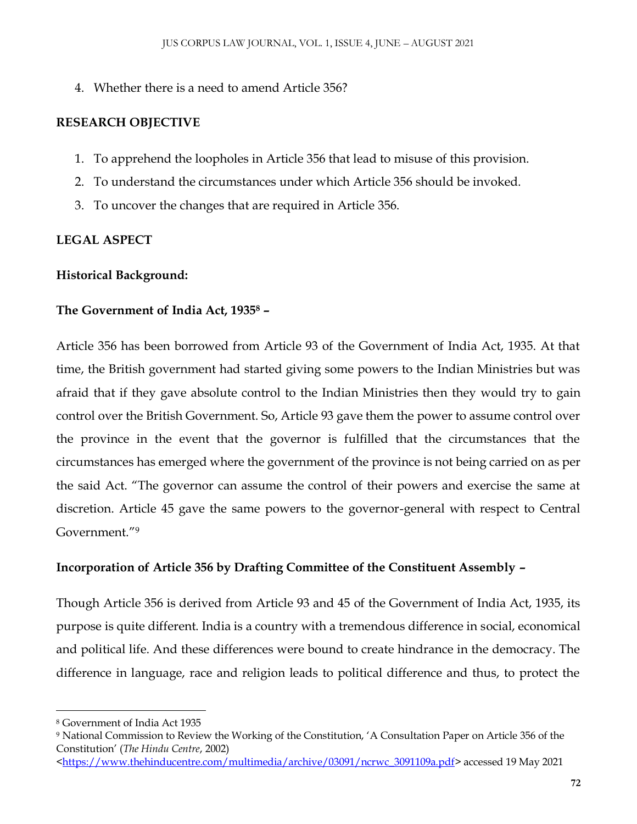4. Whether there is a need to amend Article 356?

# **RESEARCH OBJECTIVE**

- 1. To apprehend the loopholes in Article 356 that lead to misuse of this provision.
- 2. To understand the circumstances under which Article 356 should be invoked.
- 3. To uncover the changes that are required in Article 356.

# **LEGAL ASPECT**

## **Historical Background:**

## **The Government of India Act, 1935<sup>8</sup> –**

Article 356 has been borrowed from Article 93 of the Government of India Act, 1935. At that time, the British government had started giving some powers to the Indian Ministries but was afraid that if they gave absolute control to the Indian Ministries then they would try to gain control over the British Government. So, Article 93 gave them the power to assume control over the province in the event that the governor is fulfilled that the circumstances that the circumstances has emerged where the government of the province is not being carried on as per the said Act. "The governor can assume the control of their powers and exercise the same at discretion. Article 45 gave the same powers to the governor-general with respect to Central Government."<sup>9</sup>

# **Incorporation of Article 356 by Drafting Committee of the Constituent Assembly –**

Though Article 356 is derived from Article 93 and 45 of the Government of India Act, 1935, its purpose is quite different. India is a country with a tremendous difference in social, economical and political life. And these differences were bound to create hindrance in the democracy. The difference in language, race and religion leads to political difference and thus, to protect the

 $\overline{\phantom{a}}$ <sup>8</sup> Government of India Act 1935

<sup>9</sup> National Commission to Review the Working of the Constitution, 'A Consultation Paper on Article 356 of the Constitution' (*The Hindu Centre*, 2002)

[<sup>&</sup>lt;https://www.thehinducentre.com/multimedia/archive/03091/ncrwc\\_3091109a.pdf>](https://www.thehinducentre.com/multimedia/archive/03091/ncrwc_3091109a.pdf) accessed 19 May 2021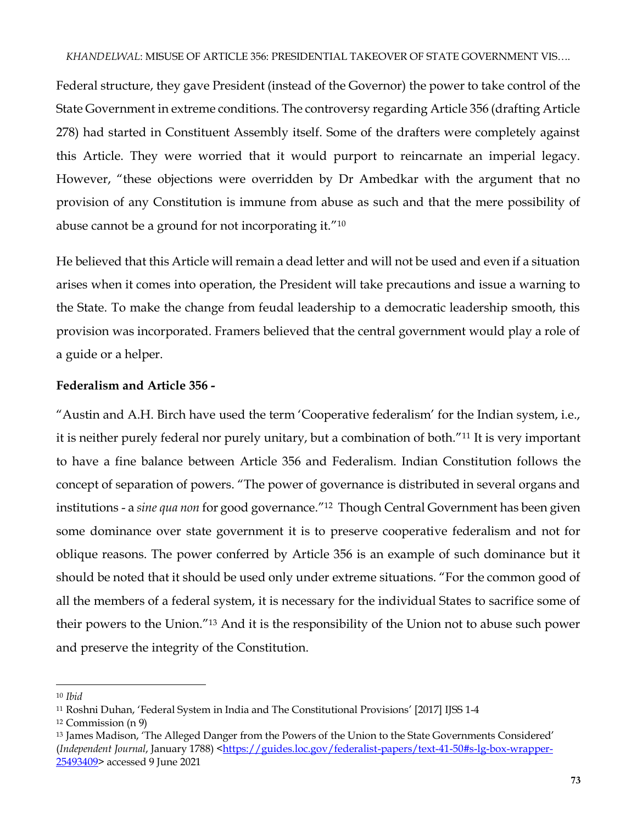Federal structure, they gave President (instead of the Governor) the power to take control of the State Government in extreme conditions. The controversy regarding Article 356 (drafting Article 278) had started in Constituent Assembly itself. Some of the drafters were completely against this Article. They were worried that it would purport to reincarnate an imperial legacy. However, "these objections were overridden by Dr Ambedkar with the argument that no provision of any Constitution is immune from abuse as such and that the mere possibility of abuse cannot be a ground for not incorporating it."<sup>10</sup>

He believed that this Article will remain a dead letter and will not be used and even if a situation arises when it comes into operation, the President will take precautions and issue a warning to the State. To make the change from feudal leadership to a democratic leadership smooth, this provision was incorporated. Framers believed that the central government would play a role of a guide or a helper.

## **Federalism and Article 356 -**

"Austin and A.H. Birch have used the term 'Cooperative federalism' for the Indian system, i.e., it is neither purely federal nor purely unitary, but a combination of both."<sup>11</sup> It is very important to have a fine balance between Article 356 and Federalism. Indian Constitution follows the concept of separation of powers. "The power of governance is distributed in several organs and institutions - a *sine qua non* for good governance."<sup>12</sup> Though Central Government has been given some dominance over state government it is to preserve cooperative federalism and not for oblique reasons. The power conferred by Article 356 is an example of such dominance but it should be noted that it should be used only under extreme situations. "For the common good of all the members of a federal system, it is necessary for the individual States to sacrifice some of their powers to the Union."<sup>13</sup> And it is the responsibility of the Union not to abuse such power and preserve the integrity of the Constitution.

 $\overline{a}$ 

<sup>10</sup> *Ibid*

<sup>11</sup> Roshni Duhan, 'Federal System in India and The Constitutional Provisions' [2017] IJSS 1-4

<sup>12</sup> Commission (n 9)

<sup>13</sup> James Madison, 'The Alleged Danger from the Powers of the Union to the State Governments Considered' (*Independent Journal*, January 1788) [<https://guides.loc.gov/federalist-papers/text-41-50#s-lg-box-wrapper-](https://guides.loc.gov/federalist-papers/text-41-50#s-lg-box-wrapper-25493409)[25493409>](https://guides.loc.gov/federalist-papers/text-41-50#s-lg-box-wrapper-25493409) accessed 9 June 2021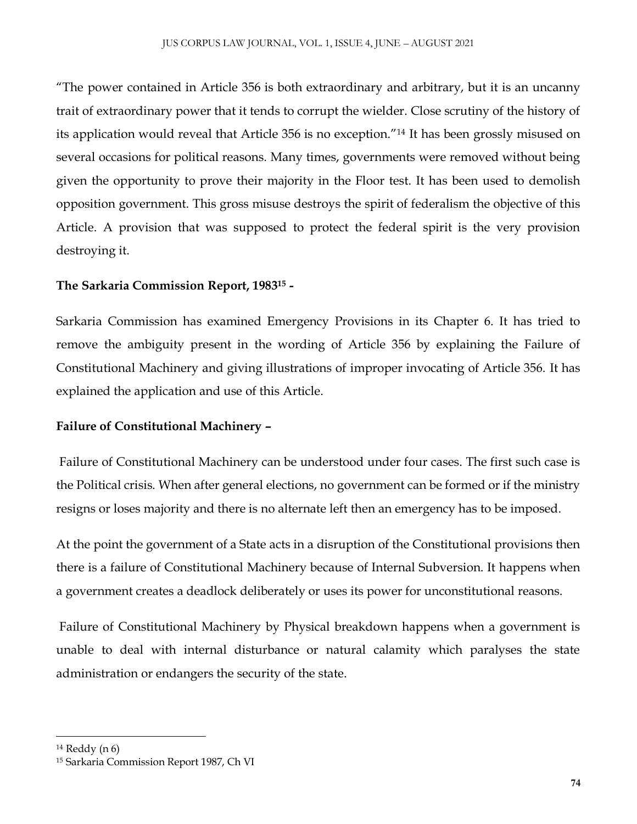"The power contained in Article 356 is both extraordinary and arbitrary, but it is an uncanny trait of extraordinary power that it tends to corrupt the wielder. Close scrutiny of the history of its application would reveal that Article 356 is no exception."<sup>14</sup> It has been grossly misused on several occasions for political reasons. Many times, governments were removed without being given the opportunity to prove their majority in the Floor test. It has been used to demolish opposition government. This gross misuse destroys the spirit of federalism the objective of this Article. A provision that was supposed to protect the federal spirit is the very provision destroying it.

# **The Sarkaria Commission Report, 1983<sup>15</sup> -**

Sarkaria Commission has examined Emergency Provisions in its Chapter 6. It has tried to remove the ambiguity present in the wording of Article 356 by explaining the Failure of Constitutional Machinery and giving illustrations of improper invocating of Article 356. It has explained the application and use of this Article.

# **Failure of Constitutional Machinery –**

Failure of Constitutional Machinery can be understood under four cases. The first such case is the Political crisis. When after general elections, no government can be formed or if the ministry resigns or loses majority and there is no alternate left then an emergency has to be imposed.

At the point the government of a State acts in a disruption of the Constitutional provisions then there is a failure of Constitutional Machinery because of Internal Subversion. It happens when a government creates a deadlock deliberately or uses its power for unconstitutional reasons.

Failure of Constitutional Machinery by Physical breakdown happens when a government is unable to deal with internal disturbance or natural calamity which paralyses the state administration or endangers the security of the state.

 $\overline{\phantom{a}}$ 

<sup>14</sup> Reddy (n 6)

<sup>15</sup> Sarkaria Commission Report 1987, Ch VI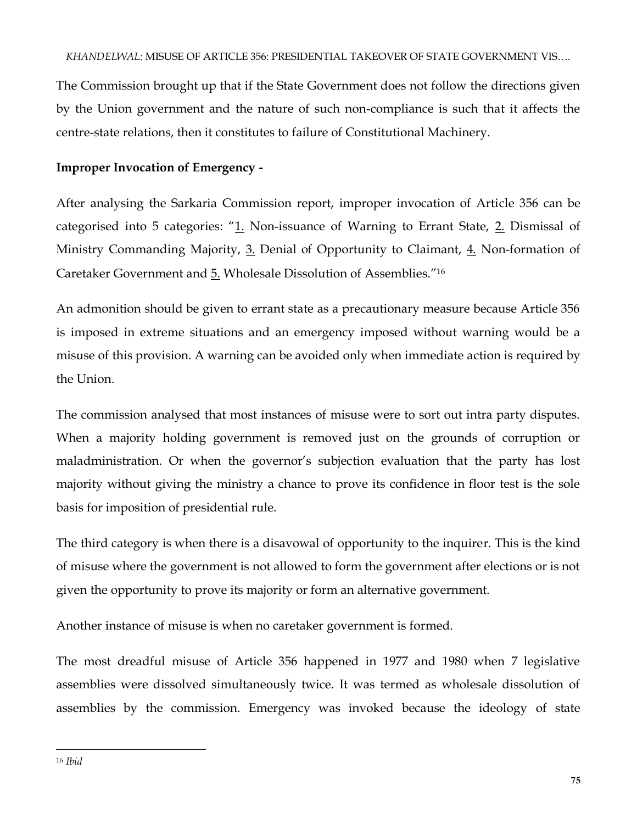The Commission brought up that if the State Government does not follow the directions given by the Union government and the nature of such non-compliance is such that it affects the centre-state relations, then it constitutes to failure of Constitutional Machinery.

# **Improper Invocation of Emergency -**

After analysing the Sarkaria Commission report, improper invocation of Article 356 can be categorised into 5 categories:  $n_1$ . Non-issuance of Warning to Errant State,  $2$ . Dismissal of Ministry Commanding Majority, 3. Denial of Opportunity to Claimant, 4. Non-formation of Caretaker Government and 5. Wholesale Dissolution of Assemblies."<sup>16</sup>

An admonition should be given to errant state as a precautionary measure because Article 356 is imposed in extreme situations and an emergency imposed without warning would be a misuse of this provision. A warning can be avoided only when immediate action is required by the Union.

The commission analysed that most instances of misuse were to sort out intra party disputes. When a majority holding government is removed just on the grounds of corruption or maladministration. Or when the governor's subjection evaluation that the party has lost majority without giving the ministry a chance to prove its confidence in floor test is the sole basis for imposition of presidential rule.

The third category is when there is a disavowal of opportunity to the inquirer. This is the kind of misuse where the government is not allowed to form the government after elections or is not given the opportunity to prove its majority or form an alternative government.

Another instance of misuse is when no caretaker government is formed.

The most dreadful misuse of Article 356 happened in 1977 and 1980 when 7 legislative assemblies were dissolved simultaneously twice. It was termed as wholesale dissolution of assemblies by the commission. Emergency was invoked because the ideology of state

 $\overline{\phantom{a}}$ <sup>16</sup> *Ibid*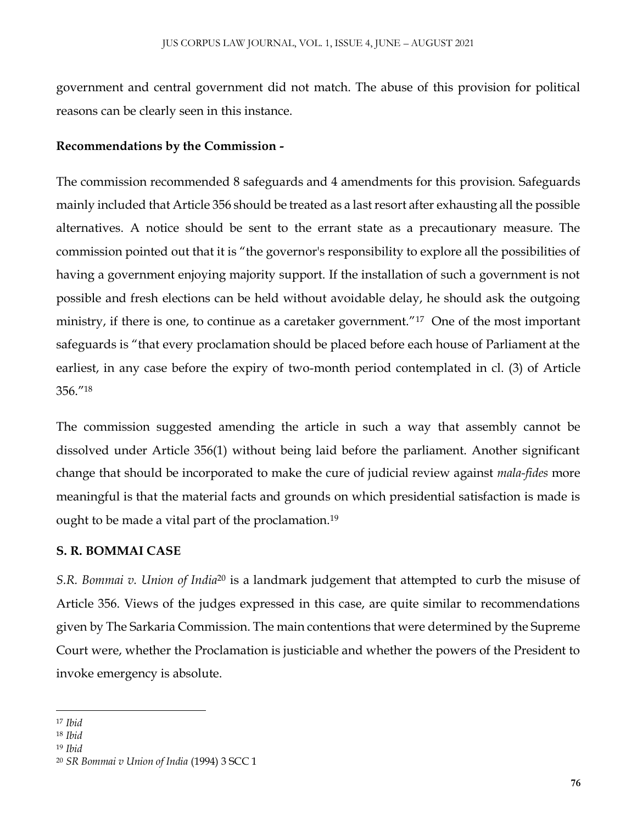government and central government did not match. The abuse of this provision for political reasons can be clearly seen in this instance.

# **Recommendations by the Commission -**

The commission recommended 8 safeguards and 4 amendments for this provision. Safeguards mainly included that Article 356 should be treated as a last resort after exhausting all the possible alternatives. A notice should be sent to the errant state as a precautionary measure. The commission pointed out that it is "the governor's responsibility to explore all the possibilities of having a government enjoying majority support. If the installation of such a government is not possible and fresh elections can be held without avoidable delay, he should ask the outgoing ministry, if there is one, to continue as a caretaker government."<sup>17</sup> One of the most important safeguards is "that every proclamation should be placed before each house of Parliament at the earliest, in any case before the expiry of two-month period contemplated in cl. (3) of Article 356."<sup>18</sup>

The commission suggested amending the article in such a way that assembly cannot be dissolved under Article 356(1) without being laid before the parliament. Another significant change that should be incorporated to make the cure of judicial review against *mala-fides* more meaningful is that the material facts and grounds on which presidential satisfaction is made is ought to be made a vital part of the proclamation.<sup>19</sup>

# **S. R. BOMMAI CASE**

*S.R. Bommai v. Union of India*<sup>20</sup> is a landmark judgement that attempted to curb the misuse of Article 356. Views of the judges expressed in this case, are quite similar to recommendations given by The Sarkaria Commission. The main contentions that were determined by the Supreme Court were, whether the Proclamation is justiciable and whether the powers of the President to invoke emergency is absolute.

 $\overline{\phantom{a}}$ <sup>17</sup> *Ibid*

<sup>18</sup> *Ibid*

<sup>19</sup> *Ibid*

<sup>20</sup> *SR Bommai v Union of India* (1994) 3 SCC 1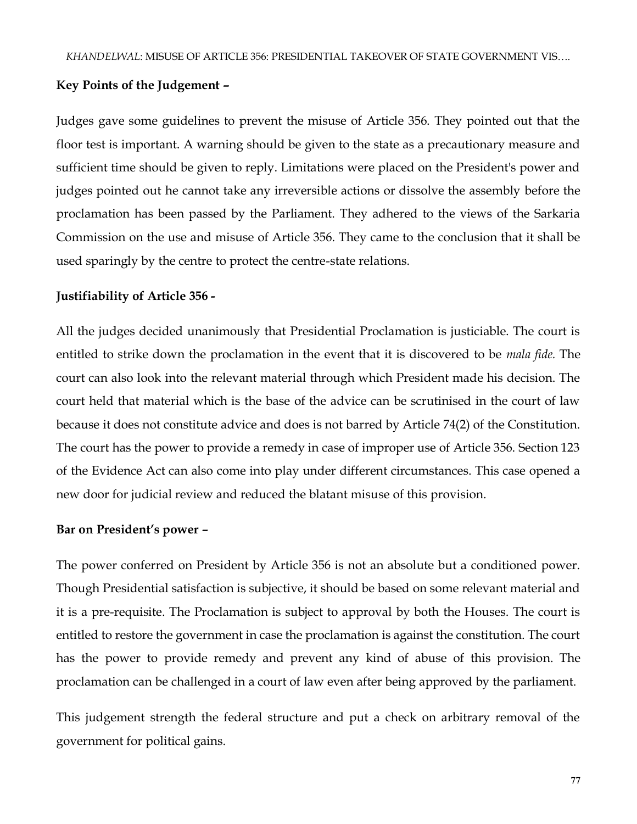#### **Key Points of the Judgement –**

Judges gave some guidelines to prevent the misuse of Article 356. They pointed out that the floor test is important. A warning should be given to the state as a precautionary measure and sufficient time should be given to reply. Limitations were placed on the President's power and judges pointed out he cannot take any irreversible actions or dissolve the assembly before the proclamation has been passed by the Parliament. They adhered to the views of the Sarkaria Commission on the use and misuse of Article 356. They came to the conclusion that it shall be used sparingly by the centre to protect the centre-state relations.

#### **Justifiability of Article 356 -**

All the judges decided unanimously that Presidential Proclamation is justiciable. The court is entitled to strike down the proclamation in the event that it is discovered to be *mala fide.* The court can also look into the relevant material through which President made his decision. The court held that material which is the base of the advice can be scrutinised in the court of law because it does not constitute advice and does is not barred by Article 74(2) of the Constitution. The court has the power to provide a remedy in case of improper use of Article 356. Section 123 of the Evidence Act can also come into play under different circumstances. This case opened a new door for judicial review and reduced the blatant misuse of this provision.

#### **Bar on President's power –**

The power conferred on President by Article 356 is not an absolute but a conditioned power. Though Presidential satisfaction is subjective, it should be based on some relevant material and it is a pre-requisite. The Proclamation is subject to approval by both the Houses. The court is entitled to restore the government in case the proclamation is against the constitution. The court has the power to provide remedy and prevent any kind of abuse of this provision. The proclamation can be challenged in a court of law even after being approved by the parliament.

This judgement strength the federal structure and put a check on arbitrary removal of the government for political gains.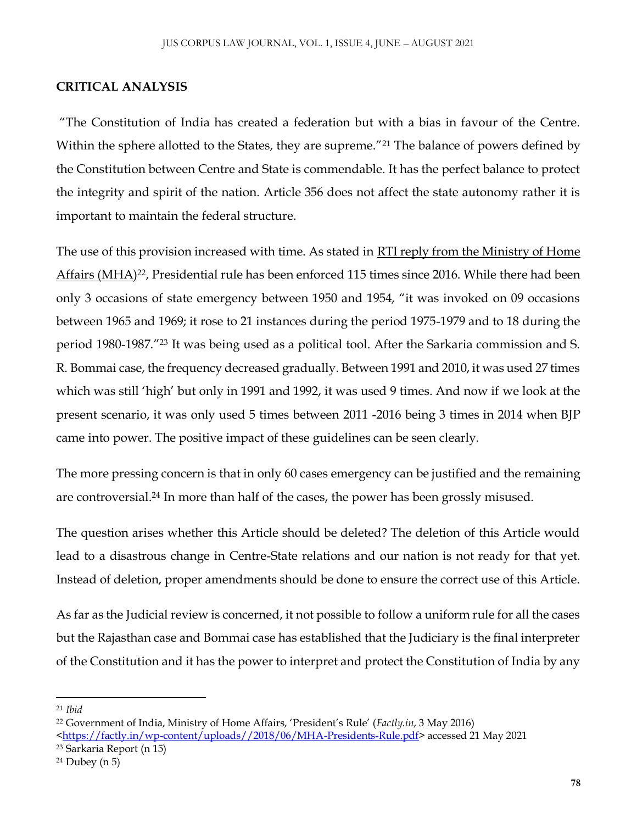### **CRITICAL ANALYSIS**

"The Constitution of India has created a federation but with a bias in favour of the Centre. Within the sphere allotted to the States, they are supreme."<sup>21</sup> The balance of powers defined by the Constitution between Centre and State is commendable. It has the perfect balance to protect the integrity and spirit of the nation. Article 356 does not affect the state autonomy rather it is important to maintain the federal structure.

The use of this provision increased with time. As stated in [RTI reply from the Ministry of Home](https://factly.in/wp-content/uploads/2018/06/MHA-Presidents-Rule.pdf)  [Affairs \(MHA\)](https://factly.in/wp-content/uploads/2018/06/MHA-Presidents-Rule.pdf)<sup>22</sup>, Presidential rule has been enforced 115 times since 2016. While there had been only 3 occasions of state emergency between 1950 and 1954, "it was invoked on 09 occasions between 1965 and 1969; it rose to 21 instances during the period 1975-1979 and to 18 during the period 1980-1987." <sup>23</sup> It was being used as a political tool. After the Sarkaria commission and S. R. Bommai case, the frequency decreased gradually. Between 1991 and 2010, it was used 27 times which was still 'high' but only in 1991 and 1992, it was used 9 times. And now if we look at the present scenario, it was only used 5 times between 2011 -2016 being 3 times in 2014 when BJP came into power. The positive impact of these guidelines can be seen clearly.

The more pressing concern is that in only 60 cases emergency can be justified and the remaining are controversial.<sup>24</sup> In more than half of the cases, the power has been grossly misused.

The question arises whether this Article should be deleted? The deletion of this Article would lead to a disastrous change in Centre-State relations and our nation is not ready for that yet. Instead of deletion, proper amendments should be done to ensure the correct use of this Article.

As far as the Judicial review is concerned, it not possible to follow a uniform rule for all the cases but the Rajasthan case and Bommai case has established that the Judiciary is the final interpreter of the Constitution and it has the power to interpret and protect the Constitution of India by any

 $\overline{a}$ 

<sup>21</sup> *Ibid*

<sup>22</sup> Government of India, Ministry of Home Affairs, 'President's Rule' (*Factly.in*, 3 May 2016)

[<sup>&</sup>lt;https://factly.in/wp-content/uploads//2018/06/MHA-Presidents-Rule.pdf>](https://factly.in/wp-content/uploads/2018/06/MHA-Presidents-Rule.pdf) accessed 21 May 2021

<sup>23</sup> Sarkaria Report (n 15)

 $24$  Dubey (n 5)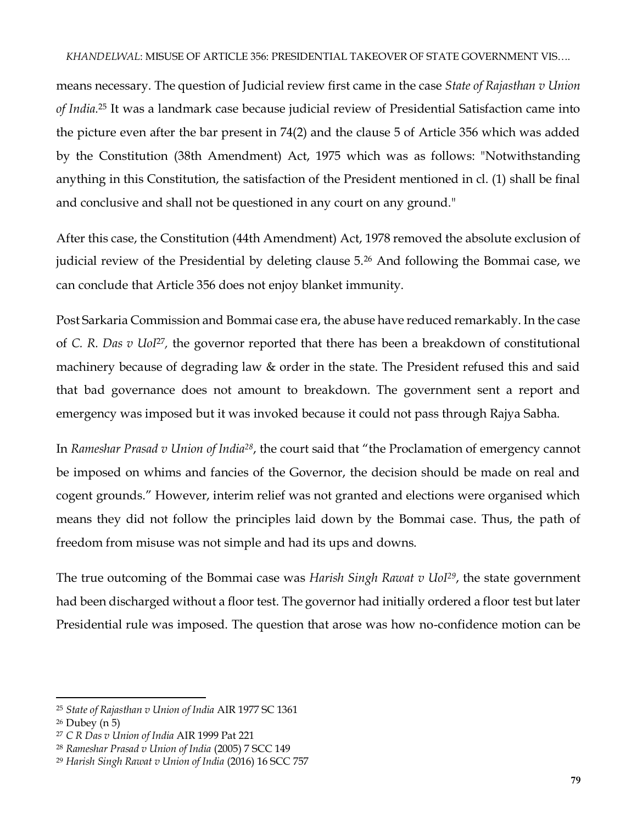#### *KHANDELWAL*: MISUSE OF ARTICLE 356: PRESIDENTIAL TAKEOVER OF STATE GOVERNMENT VIS….

means necessary. The question of Judicial review first came in the case *State of Rajasthan v Union of India.*<sup>25</sup> It was a landmark case because judicial review of Presidential Satisfaction came into the picture even after the bar present in 74(2) and the clause 5 of Article 356 which was added by the Constitution (38th Amendment) Act, 1975 which was as follows: "Notwithstanding anything in this Constitution, the satisfaction of the President mentioned in cl. (1) shall be final and conclusive and shall not be questioned in any court on any ground."

After this case, the Constitution (44th Amendment) Act, 1978 removed the absolute exclusion of judicial review of the Presidential by deleting clause 5.<sup>26</sup> And following the Bommai case, we can conclude that Article 356 does not enjoy blanket immunity.

Post Sarkaria Commission and Bommai case era, the abuse have reduced remarkably. In the case of *C. R. Das v Uol<sup>27</sup>,* the governor reported that there has been a breakdown of constitutional machinery because of degrading law & order in the state. The President refused this and said that bad governance does not amount to breakdown. The government sent a report and emergency was imposed but it was invoked because it could not pass through Rajya Sabha.

In *Rameshar Prasad v Union of India<sup>28</sup>*, the court said that "the Proclamation of emergency cannot be imposed on whims and fancies of the Governor, the decision should be made on real and cogent grounds." However, interim relief was not granted and elections were organised which means they did not follow the principles laid down by the Bommai case. Thus, the path of freedom from misuse was not simple and had its ups and downs.

The true outcoming of the Bommai case was *Harish Singh Rawat v UoI<sup>29</sup>*, the state government had been discharged without a floor test. The governor had initially ordered a floor test but later Presidential rule was imposed. The question that arose was how no-confidence motion can be

 $\overline{a}$ 

<sup>25</sup> *State of Rajasthan v Union of India* AIR 1977 SC 1361

<sup>26</sup> Dubey (n 5)

<sup>27</sup> *C R Das v Union of India* AIR 1999 Pat 221

<sup>28</sup> *Rameshar Prasad v Union of India* (2005) 7 SCC 149

<sup>29</sup> *Harish Singh Rawat v Union of India* (2016) 16 SCC 757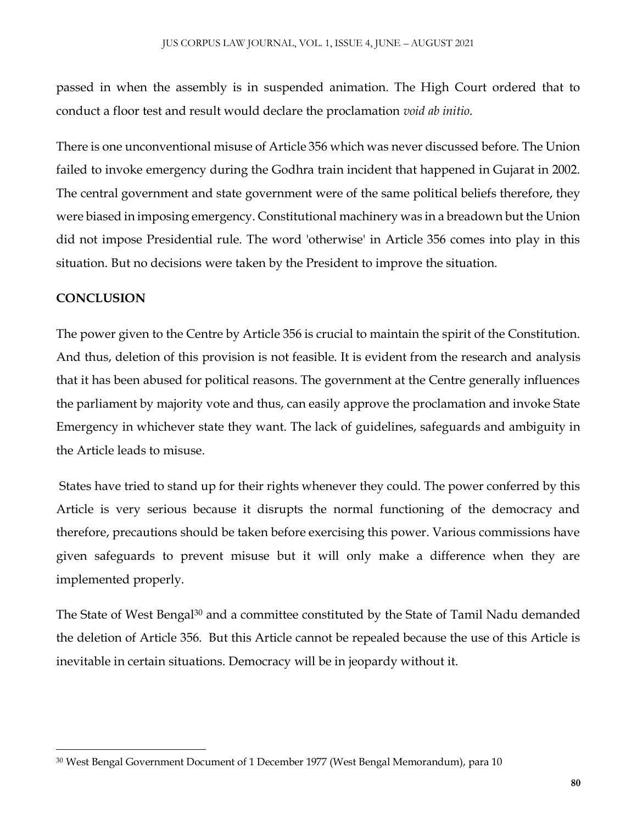passed in when the assembly is in suspended animation. The High Court ordered that to conduct a floor test and result would declare the proclamation *void ab initio*.

There is one unconventional misuse of Article 356 which was never discussed before. The Union failed to invoke emergency during the Godhra train incident that happened in Gujarat in 2002. The central government and state government were of the same political beliefs therefore, they were biased in imposing emergency. Constitutional machinery was in a breadown but the Union did not impose Presidential rule. The word 'otherwise' in Article 356 comes into play in this situation. But no decisions were taken by the President to improve the situation.

# **CONCLUSION**

 $\overline{\phantom{a}}$ 

The power given to the Centre by Article 356 is crucial to maintain the spirit of the Constitution. And thus, deletion of this provision is not feasible. It is evident from the research and analysis that it has been abused for political reasons. The government at the Centre generally influences the parliament by majority vote and thus, can easily approve the proclamation and invoke State Emergency in whichever state they want. The lack of guidelines, safeguards and ambiguity in the Article leads to misuse.

States have tried to stand up for their rights whenever they could. The power conferred by this Article is very serious because it disrupts the normal functioning of the democracy and therefore, precautions should be taken before exercising this power. Various commissions have given safeguards to prevent misuse but it will only make a difference when they are implemented properly.

The State of West Bengal<sup>30</sup> and a committee constituted by the State of Tamil Nadu demanded the deletion of Article 356. But this Article cannot be repealed because the use of this Article is inevitable in certain situations. Democracy will be in jeopardy without it.

<sup>30</sup> West Bengal Government Document of 1 December 1977 (West Bengal Memorandum), para 10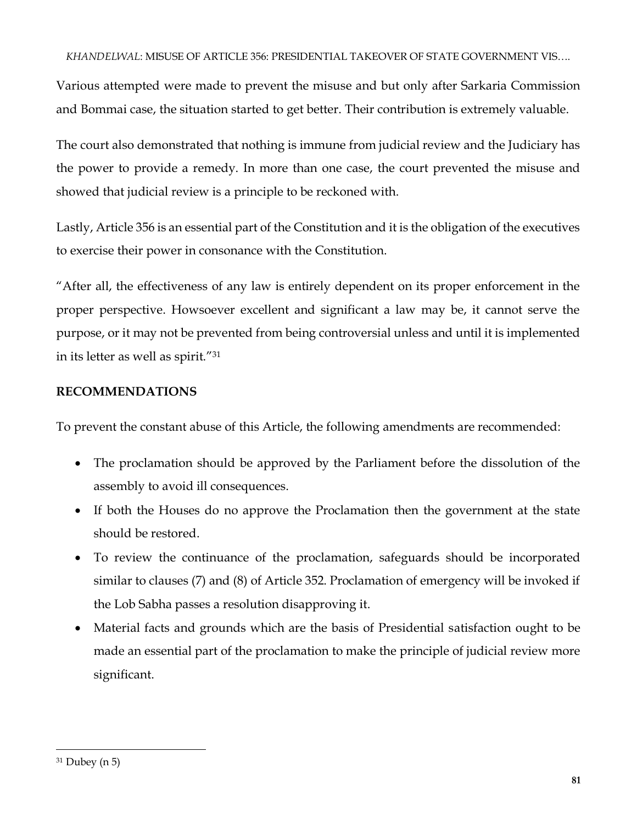#### *KHANDELWAL*: MISUSE OF ARTICLE 356: PRESIDENTIAL TAKEOVER OF STATE GOVERNMENT VIS….

Various attempted were made to prevent the misuse and but only after Sarkaria Commission and Bommai case, the situation started to get better. Their contribution is extremely valuable.

The court also demonstrated that nothing is immune from judicial review and the Judiciary has the power to provide a remedy. In more than one case, the court prevented the misuse and showed that judicial review is a principle to be reckoned with.

Lastly, Article 356 is an essential part of the Constitution and it is the obligation of the executives to exercise their power in consonance with the Constitution.

"After all, the effectiveness of any law is entirely dependent on its proper enforcement in the proper perspective. Howsoever excellent and significant a law may be, it cannot serve the purpose, or it may not be prevented from being controversial unless and until it is implemented in its letter as well as spirit."<sup>31</sup>

## **RECOMMENDATIONS**

To prevent the constant abuse of this Article, the following amendments are recommended:

- The proclamation should be approved by the Parliament before the dissolution of the assembly to avoid ill consequences.
- If both the Houses do no approve the Proclamation then the government at the state should be restored.
- To review the continuance of the proclamation, safeguards should be incorporated similar to clauses (7) and (8) of Article 352. Proclamation of emergency will be invoked if the Lob Sabha passes a resolution disapproving it.
- Material facts and grounds which are the basis of Presidential satisfaction ought to be made an essential part of the proclamation to make the principle of judicial review more significant.

 $\overline{\phantom{a}}$ 

 $31$  Dubey (n 5)